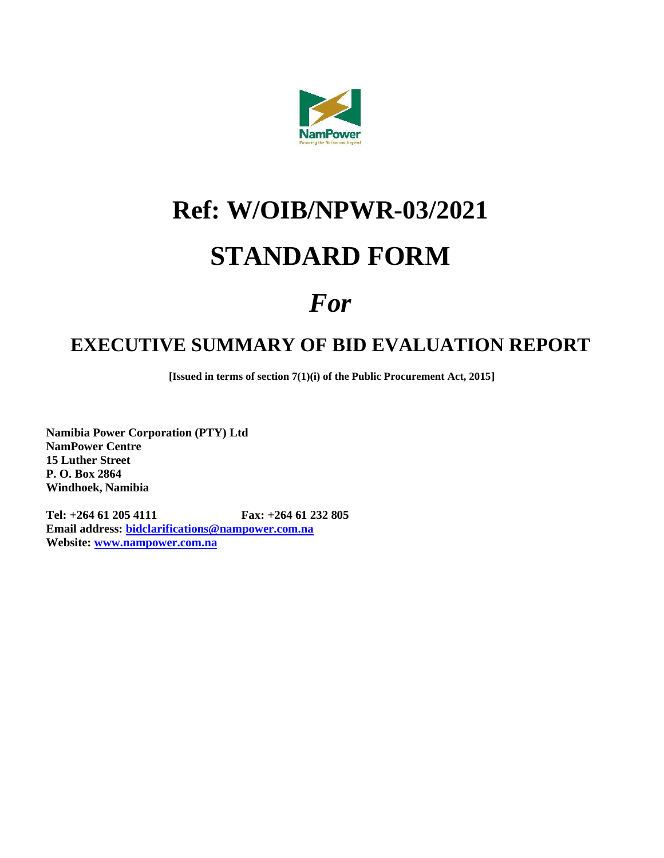

# **Ref: W/OIB/NPWR-03/2021 STANDARD FORM**

# *For*

# **EXECUTIVE SUMMARY OF BID EVALUATION REPORT**

**[Issued in terms of section 7(1)(i) of the Public Procurement Act, 2015]**

**Namibia Power Corporation (PTY) Ltd NamPower Centre 15 Luther Street P. O. Box 2864 Windhoek, Namibia**

**Tel: +264 61 205 4111 Fax: +264 61 232 805 Email address: [bidclarifications@nampower.com.na](mailto:bidclarifications@nampower.com.na) Website: [www.nampower.com.na](http://www.nampower.com.na/)**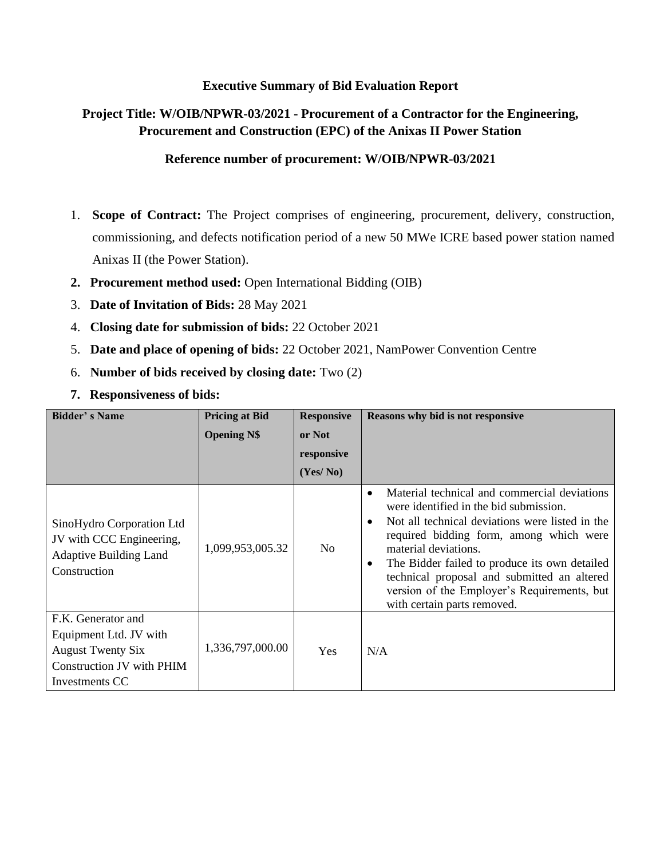### **Executive Summary of Bid Evaluation Report**

## **Project Title: W/OIB/NPWR-03/2021 - Procurement of a Contractor for the Engineering, Procurement and Construction (EPC) of the Anixas II Power Station**

#### **Reference number of procurement: W/OIB/NPWR-03/2021**

- 1. **Scope of Contract:** The Project comprises of engineering, procurement, delivery, construction, commissioning, and defects notification period of a new 50 MWe ICRE based power station named Anixas II (the Power Station).
- **2. Procurement method used:** Open International Bidding (OIB)
- 3. **Date of Invitation of Bids:** 28 May 2021
- 4. **Closing date for submission of bids:** 22 October 2021
- 5. **Date and place of opening of bids:** 22 October 2021, NamPower Convention Centre
- 6. **Number of bids received by closing date:** Two (2)
- **7. Responsiveness of bids:**

| <b>Bidder's Name</b>                                                                                                    | <b>Pricing at Bid</b> | <b>Responsive</b> | Reasons why bid is not responsive                                                                                                                                                                                                                                                                                                                                                                                                 |  |  |
|-------------------------------------------------------------------------------------------------------------------------|-----------------------|-------------------|-----------------------------------------------------------------------------------------------------------------------------------------------------------------------------------------------------------------------------------------------------------------------------------------------------------------------------------------------------------------------------------------------------------------------------------|--|--|
|                                                                                                                         | <b>Opening N\$</b>    | or Not            |                                                                                                                                                                                                                                                                                                                                                                                                                                   |  |  |
|                                                                                                                         |                       | responsive        |                                                                                                                                                                                                                                                                                                                                                                                                                                   |  |  |
|                                                                                                                         |                       | (Yes/No)          |                                                                                                                                                                                                                                                                                                                                                                                                                                   |  |  |
| SinoHydro Corporation Ltd<br>JV with CCC Engineering,<br><b>Adaptive Building Land</b><br>Construction                  | 1,099,953,005.32      | N <sub>0</sub>    | Material technical and commercial deviations<br>$\bullet$<br>were identified in the bid submission.<br>Not all technical deviations were listed in the<br>$\bullet$<br>required bidding form, among which were<br>material deviations.<br>The Bidder failed to produce its own detailed<br>$\bullet$<br>technical proposal and submitted an altered<br>version of the Employer's Requirements, but<br>with certain parts removed. |  |  |
| F.K. Generator and<br>Equipment Ltd. JV with<br><b>August Twenty Six</b><br>Construction JV with PHIM<br>Investments CC | 1,336,797,000.00      | Yes               | N/A                                                                                                                                                                                                                                                                                                                                                                                                                               |  |  |